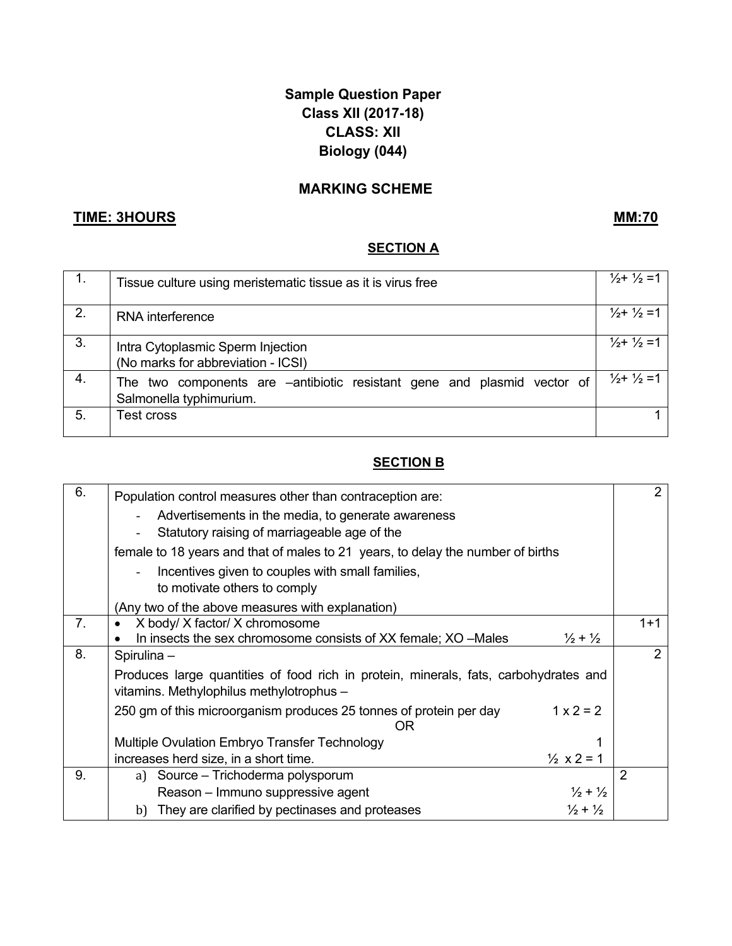## **Sample Question Paper Class XII (2017-18) CLASS: XII Biology (044)**

## **MARKING SCHEME**

### **TIME: 3HOURS MM:70**

#### **SECTION A**

| 1. | Tissue culture using meristematic tissue as it is virus free                                       | $\frac{1}{2} + \frac{1}{2} = 1$ |
|----|----------------------------------------------------------------------------------------------------|---------------------------------|
| 2. | RNA interference                                                                                   | $\frac{1}{2} + \frac{1}{2} = 1$ |
| 3. | Intra Cytoplasmic Sperm Injection<br>(No marks for abbreviation - ICSI)                            | $\frac{1}{2} + \frac{1}{2} = 1$ |
| 4. | The two components are -antibiotic resistant gene and plasmid vector of<br>Salmonella typhimurium. | $\frac{1}{2} + \frac{1}{2} = 1$ |
| 5. | Test cross                                                                                         |                                 |

### **SECTION B**

| 6.             | Population control measures other than contraception are:                                                                        | $\overline{2}$ |
|----------------|----------------------------------------------------------------------------------------------------------------------------------|----------------|
|                | Advertisements in the media, to generate awareness<br>Statutory raising of marriageable age of the                               |                |
|                | female to 18 years and that of males to 21 years, to delay the number of births                                                  |                |
|                | Incentives given to couples with small families,<br>to motivate others to comply                                                 |                |
|                | (Any two of the above measures with explanation)                                                                                 |                |
| 7 <sub>1</sub> | X body/ X factor/ X chromosome<br>$\frac{1}{2} + \frac{1}{2}$<br>In insects the sex chromosome consists of XX female; XO -Males  | $1 + 1$        |
| 8.             | Spirulina –                                                                                                                      | 2              |
|                | Produces large quantities of food rich in protein, minerals, fats, carbohydrates and<br>vitamins. Methylophilus methylotrophus - |                |
|                | $1 \times 2 = 2$<br>250 gm of this microorganism produces 25 tonnes of protein per day<br>OR.                                    |                |
|                | Multiple Ovulation Embryo Transfer Technology                                                                                    |                |
|                | $\frac{1}{2}$ x 2 = 1<br>increases herd size, in a short time.                                                                   |                |
| 9.             | a) Source – Trichoderma polysporum                                                                                               | $\overline{2}$ |
|                | $\frac{1}{2} + \frac{1}{2}$<br>Reason - Immuno suppressive agent                                                                 |                |
|                | $\frac{1}{2} + \frac{1}{2}$<br>b) They are clarified by pectinases and proteases                                                 |                |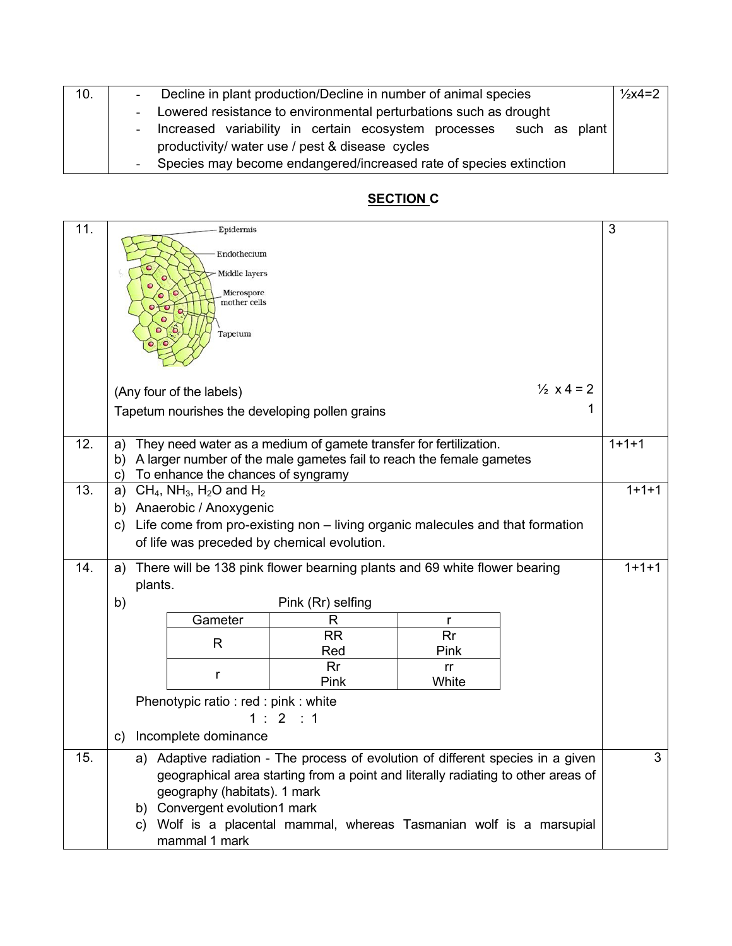| 10. | - Decline in plant production/Decline in number of animal species    |  |  |  |
|-----|----------------------------------------------------------------------|--|--|--|
|     | - Lowered resistance to environmental perturbations such as drought  |  |  |  |
|     | - Increased variability in certain ecosystem processes such as plant |  |  |  |
|     | productivity/ water use / pest & disease cycles                      |  |  |  |
|     | - Species may become endangered/increased rate of species extinction |  |  |  |

| <b>SECTION C</b> |  |  |
|------------------|--|--|
|                  |  |  |

| 11. |                                       | Epidermis                                                               |                                                                                                                              |            |                            | 3       |
|-----|---------------------------------------|-------------------------------------------------------------------------|------------------------------------------------------------------------------------------------------------------------------|------------|----------------------------|---------|
|     |                                       | Endothecium                                                             |                                                                                                                              |            |                            |         |
|     |                                       | Middle layers                                                           |                                                                                                                              |            |                            |         |
|     |                                       | Microspore                                                              |                                                                                                                              |            |                            |         |
|     |                                       | mother cells                                                            |                                                                                                                              |            |                            |         |
|     |                                       |                                                                         |                                                                                                                              |            |                            |         |
|     |                                       | Tapetum                                                                 |                                                                                                                              |            |                            |         |
|     |                                       |                                                                         |                                                                                                                              |            |                            |         |
|     |                                       |                                                                         |                                                                                                                              |            | $\frac{1}{2} \times 4 = 2$ |         |
|     |                                       | (Any four of the labels)                                                |                                                                                                                              |            |                            |         |
|     |                                       |                                                                         | Tapetum nourishes the developing pollen grains                                                                               |            |                            |         |
| 12. | a)                                    |                                                                         | They need water as a medium of gamete transfer for fertilization.                                                            |            |                            | $1+1+1$ |
|     | b)                                    |                                                                         | A larger number of the male gametes fail to reach the female gametes                                                         |            |                            |         |
|     | C)                                    | To enhance the chances of syngramy                                      |                                                                                                                              |            |                            |         |
| 13. | a)                                    | CH <sub>4</sub> , NH <sub>3</sub> , H <sub>2</sub> O and H <sub>2</sub> |                                                                                                                              |            |                            | $1+1+1$ |
|     |                                       | b) Anaerobic / Anoxygenic                                               |                                                                                                                              |            |                            |         |
|     | C)                                    |                                                                         | Life come from pro-existing non - living organic malecules and that formation<br>of life was preceded by chemical evolution. |            |                            |         |
|     |                                       |                                                                         |                                                                                                                              |            |                            |         |
| 14. | a)                                    |                                                                         | There will be 138 pink flower bearning plants and 69 white flower bearing                                                    |            |                            | $1+1+1$ |
|     | plants.                               |                                                                         |                                                                                                                              |            |                            |         |
|     | b)                                    |                                                                         | Pink (Rr) selfing                                                                                                            |            |                            |         |
|     |                                       | Gameter                                                                 | R                                                                                                                            | r          |                            |         |
|     |                                       | R                                                                       | <b>RR</b><br>Red                                                                                                             | Rr<br>Pink |                            |         |
|     |                                       |                                                                         | Rr                                                                                                                           | rr         |                            |         |
|     |                                       | r                                                                       | Pink                                                                                                                         | White      |                            |         |
|     | Phenotypic ratio : red : pink : white |                                                                         |                                                                                                                              |            |                            |         |
|     |                                       |                                                                         | $\overline{2}$<br>$\therefore$ 1                                                                                             |            |                            |         |
|     | C)                                    | Incomplete dominance                                                    |                                                                                                                              |            |                            |         |
| 15. |                                       |                                                                         | a) Adaptive radiation - The process of evolution of different species in a given                                             |            |                            | 3       |
|     |                                       |                                                                         | geographical area starting from a point and literally radiating to other areas of                                            |            |                            |         |
|     | geography (habitats). 1 mark          |                                                                         |                                                                                                                              |            |                            |         |
|     |                                       | b) Convergent evolution1 mark                                           |                                                                                                                              |            |                            |         |
|     |                                       |                                                                         | c) Wolf is a placental mammal, whereas Tasmanian wolf is a marsupial                                                         |            |                            |         |
|     |                                       | mammal 1 mark                                                           |                                                                                                                              |            |                            |         |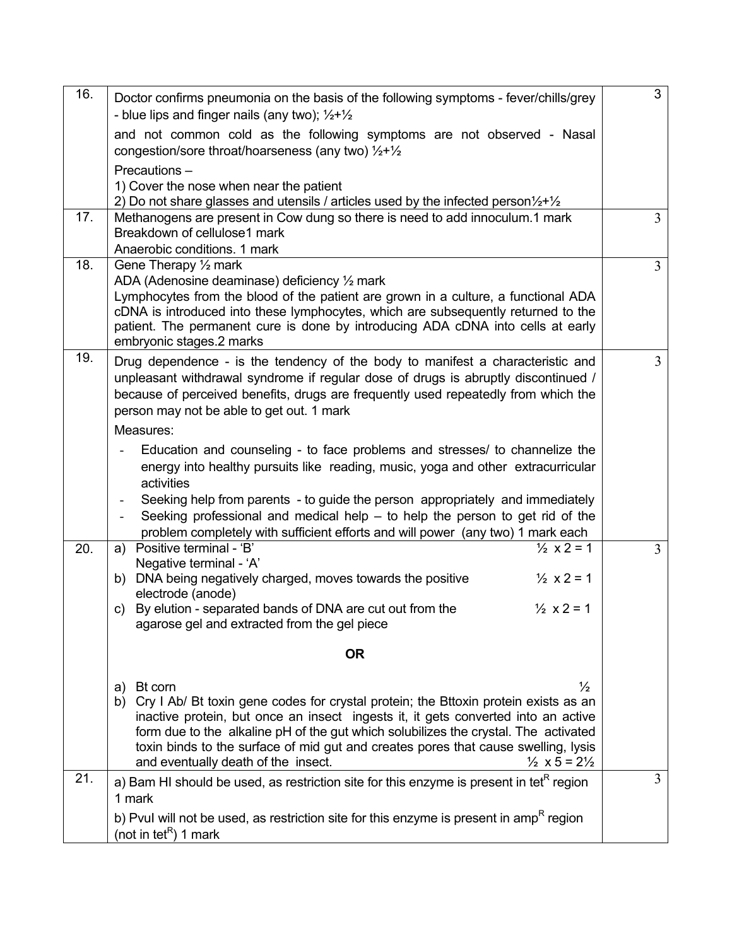| 16. | Doctor confirms pneumonia on the basis of the following symptoms - fever/chills/grey<br>- blue lips and finger nails (any two); $\frac{1}{2} + \frac{1}{2}$                                                                                                                                                                                                                                                                                                                                 | 3 |
|-----|---------------------------------------------------------------------------------------------------------------------------------------------------------------------------------------------------------------------------------------------------------------------------------------------------------------------------------------------------------------------------------------------------------------------------------------------------------------------------------------------|---|
|     | and not common cold as the following symptoms are not observed - Nasal<br>congestion/sore throat/hoarseness (any two) $\frac{1}{2} + \frac{1}{2}$                                                                                                                                                                                                                                                                                                                                           |   |
|     | Precautions-<br>1) Cover the nose when near the patient<br>2) Do not share glasses and utensils / articles used by the infected person $\frac{1}{2}$ + $\frac{1}{2}$                                                                                                                                                                                                                                                                                                                        |   |
| 17. | Methanogens are present in Cow dung so there is need to add innoculum.1 mark<br>Breakdown of cellulose1 mark<br>Anaerobic conditions. 1 mark                                                                                                                                                                                                                                                                                                                                                | 3 |
| 18. | Gene Therapy 1/2 mark<br>ADA (Adenosine deaminase) deficiency 1/2 mark<br>Lymphocytes from the blood of the patient are grown in a culture, a functional ADA<br>cDNA is introduced into these lymphocytes, which are subsequently returned to the<br>patient. The permanent cure is done by introducing ADA cDNA into cells at early<br>embryonic stages.2 marks                                                                                                                            | 3 |
| 19. | Drug dependence - is the tendency of the body to manifest a characteristic and<br>unpleasant withdrawal syndrome if regular dose of drugs is abruptly discontinued /<br>because of perceived benefits, drugs are frequently used repeatedly from which the<br>person may not be able to get out. 1 mark                                                                                                                                                                                     | 3 |
|     | Measures:                                                                                                                                                                                                                                                                                                                                                                                                                                                                                   |   |
|     | Education and counseling - to face problems and stresses/ to channelize the<br>energy into healthy pursuits like reading, music, yoga and other extracurricular<br>activities<br>Seeking help from parents - to guide the person appropriately and immediately<br>$\overline{\phantom{a}}$<br>Seeking professional and medical help $-$ to help the person to get rid of the<br>$\overline{\phantom{a}}$<br>problem completely with sufficient efforts and will power (any two) 1 mark each |   |
| 20. | Positive terminal - 'B'<br>$\frac{1}{2}$ x 2 = 1<br>a)                                                                                                                                                                                                                                                                                                                                                                                                                                      | 3 |
|     | Negative terminal - 'A'<br>DNA being negatively charged, moves towards the positive<br>$\frac{1}{2}$ x 2 = 1<br>b)<br>electrode (anode)                                                                                                                                                                                                                                                                                                                                                     |   |
|     | c) By elution - separated bands of DNA are cut out from the<br>$\frac{1}{2}$ x 2 = 1<br>agarose gel and extracted from the gel piece                                                                                                                                                                                                                                                                                                                                                        |   |
|     | <b>OR</b>                                                                                                                                                                                                                                                                                                                                                                                                                                                                                   |   |
|     | $\frac{1}{2}$<br>Bt corn<br>a)<br>Cry I Ab/ Bt toxin gene codes for crystal protein; the Bttoxin protein exists as an<br>b)<br>inactive protein, but once an insect ingests it, it gets converted into an active<br>form due to the alkaline pH of the gut which solubilizes the crystal. The activated<br>toxin binds to the surface of mid gut and creates pores that cause swelling, lysis<br>and eventually death of the insect.<br>$\frac{1}{2} \times 5 = 2\frac{1}{2}$               |   |
| 21. | a) Bam HI should be used, as restriction site for this enzyme is present in tet <sup>R</sup> region<br>1 mark                                                                                                                                                                                                                                                                                                                                                                               | 3 |
|     | b) Pvul will not be used, as restriction site for this enzyme is present in amp <sup>R</sup> region<br>(not in tet <sup>R</sup> ) 1 mark                                                                                                                                                                                                                                                                                                                                                    |   |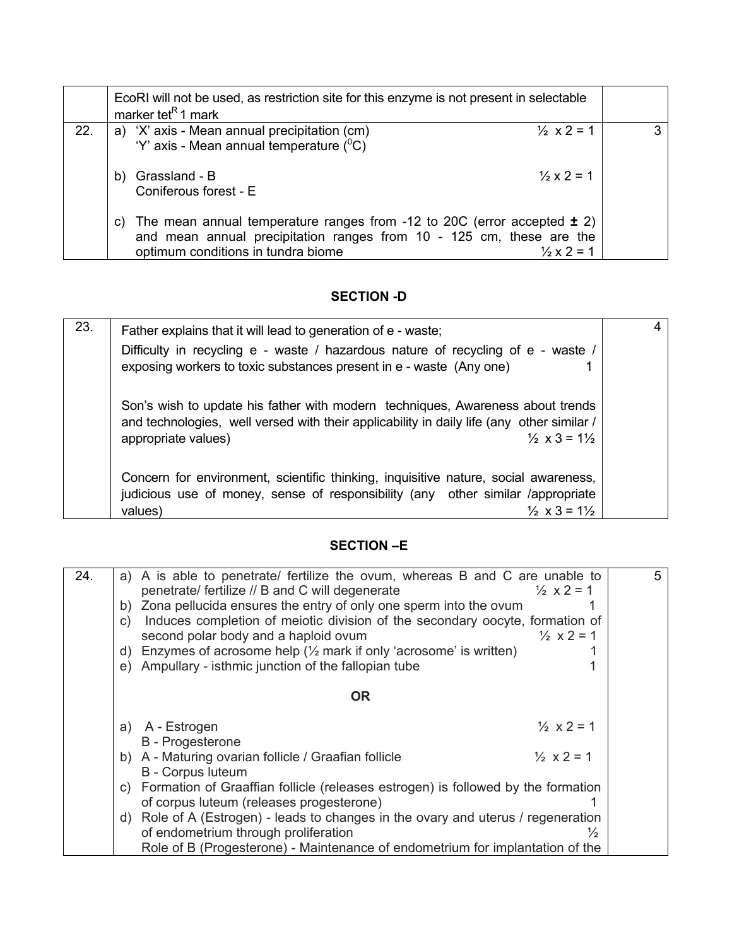|     | EcoRI will not be used, as restriction site for this enzyme is not present in selectable<br>marker tet <sup>R</sup> 1 mark                                                                                                    |  |  |
|-----|-------------------------------------------------------------------------------------------------------------------------------------------------------------------------------------------------------------------------------|--|--|
| 22. | a) 'X' axis - Mean annual precipitation (cm)<br>$\frac{1}{2}$ x 2 = 1<br>'Y' axis - Mean annual temperature $(^0C)$                                                                                                           |  |  |
|     | $\frac{1}{2} \times 2 = 1$<br>Grassland - B<br>b)<br>Coniferous forest - E                                                                                                                                                    |  |  |
|     | The mean annual temperature ranges from -12 to 20C (error accepted $\pm$ 2)<br>C)<br>and mean annual precipitation ranges from 10 - 125 cm, these are the<br>optimum conditions in tundra biome<br>$\frac{1}{2} \times 2 = 1$ |  |  |

### **SECTION -D**

| 23. | Father explains that it will lead to generation of e - waste;                                                                                                                                                                 |  |
|-----|-------------------------------------------------------------------------------------------------------------------------------------------------------------------------------------------------------------------------------|--|
|     | Difficulty in recycling e - waste / hazardous nature of recycling of e - waste /<br>exposing workers to toxic substances present in e - waste (Any one)                                                                       |  |
|     | Son's wish to update his father with modern techniques, Awareness about trends<br>and technologies, well versed with their applicability in daily life (any other similar /<br>$\frac{1}{2}$ x 3 = 1\%<br>appropriate values) |  |
|     | Concern for environment, scientific thinking, inquisitive nature, social awareness,<br>judicious use of money, sense of responsibility (any other similar /appropriate<br>$\frac{1}{2} \times 3 = 1\frac{1}{2}$<br>values)    |  |

# **SECTION –E**

| 24. | a) A is able to penetrate/ fertilize the ovum, whereas B and C are unable to<br>penetrate/ fertilize // B and C will degenerate<br>$\frac{1}{2}$ x 2 = 1<br>Zona pellucida ensures the entry of only one sperm into the ovum<br>b)<br>Induces completion of meiotic division of the secondary oocyte, formation of<br>C)<br>$\frac{1}{2} \times 2 = 1$<br>second polar body and a haploid ovum<br>d) Enzymes of acrosome help $\frac{1}{2}$ mark if only 'acrosome' is written)<br>e) Ampullary - isthmic junction of the fallopian tube | 5 |
|-----|------------------------------------------------------------------------------------------------------------------------------------------------------------------------------------------------------------------------------------------------------------------------------------------------------------------------------------------------------------------------------------------------------------------------------------------------------------------------------------------------------------------------------------------|---|
|     | <b>OR</b>                                                                                                                                                                                                                                                                                                                                                                                                                                                                                                                                |   |
|     | $\frac{1}{2} \times 2 = 1$<br>a) A - Estrogen<br><b>B</b> - Progesterone                                                                                                                                                                                                                                                                                                                                                                                                                                                                 |   |
|     | $\frac{1}{2} \times 2 = 1$<br>b) A - Maturing ovarian follicle / Graafian follicle<br>B - Corpus luteum                                                                                                                                                                                                                                                                                                                                                                                                                                  |   |
|     | c) Formation of Graaffian follicle (releases estrogen) is followed by the formation<br>of corpus luteum (releases progesterone)                                                                                                                                                                                                                                                                                                                                                                                                          |   |
|     | d) Role of A (Estrogen) - leads to changes in the ovary and uterus / regeneration<br>of endometrium through proliferation<br>$\frac{1}{2}$<br>Role of B (Progesterone) - Maintenance of endometrium for implantation of the                                                                                                                                                                                                                                                                                                              |   |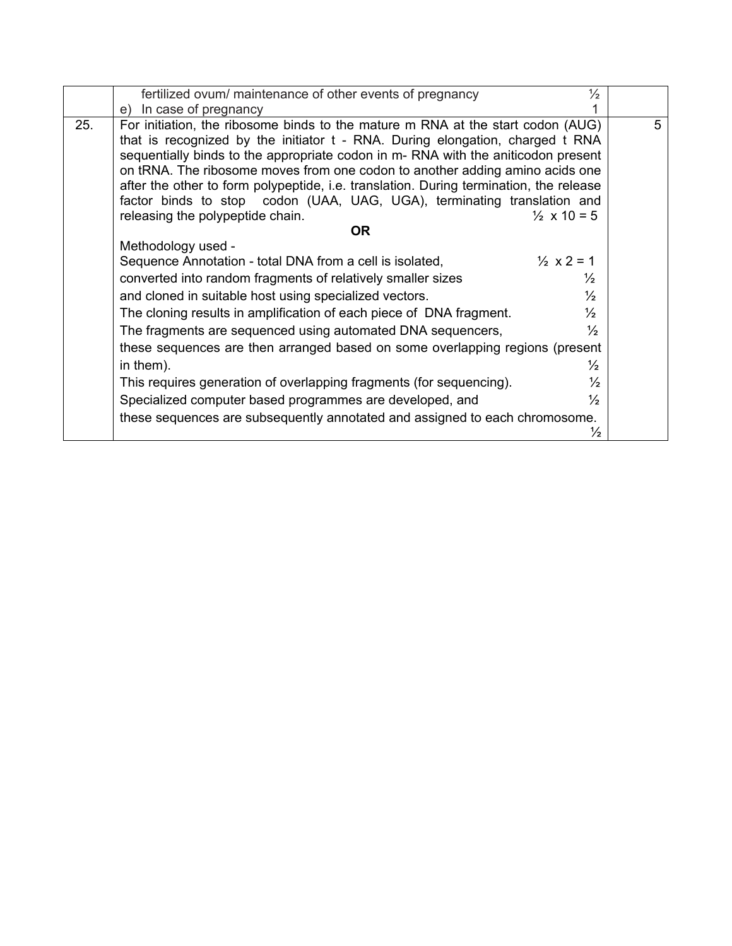|     | fertilized ovum/ maintenance of other events of pregnancy                                                                                                                                                                                                                                                                                                                                                                                                                                                                                                                                                                                                    | $\frac{1}{2}$                                                                                                                                                      |   |
|-----|--------------------------------------------------------------------------------------------------------------------------------------------------------------------------------------------------------------------------------------------------------------------------------------------------------------------------------------------------------------------------------------------------------------------------------------------------------------------------------------------------------------------------------------------------------------------------------------------------------------------------------------------------------------|--------------------------------------------------------------------------------------------------------------------------------------------------------------------|---|
|     | In case of pregnancy<br>e)                                                                                                                                                                                                                                                                                                                                                                                                                                                                                                                                                                                                                                   |                                                                                                                                                                    |   |
| 25. | For initiation, the ribosome binds to the mature m RNA at the start codon (AUG)<br>that is recognized by the initiator t - RNA. During elongation, charged t RNA<br>sequentially binds to the appropriate codon in m- RNA with the aniticodon present<br>on tRNA. The ribosome moves from one codon to another adding amino acids one<br>after the other to form polypeptide, i.e. translation. During termination, the release<br>factor binds to stop codon (UAA, UAG, UGA), terminating translation and<br>releasing the polypeptide chain.                                                                                                               | $\frac{1}{2}$ x 10 = 5                                                                                                                                             | 5 |
|     | <b>OR</b>                                                                                                                                                                                                                                                                                                                                                                                                                                                                                                                                                                                                                                                    |                                                                                                                                                                    |   |
|     | Methodology used -<br>Sequence Annotation - total DNA from a cell is isolated,<br>converted into random fragments of relatively smaller sizes<br>and cloned in suitable host using specialized vectors.<br>The cloning results in amplification of each piece of DNA fragment.<br>The fragments are sequenced using automated DNA sequencers,<br>these sequences are then arranged based on some overlapping regions (present<br>in them).<br>This requires generation of overlapping fragments (for sequencing).<br>Specialized computer based programmes are developed, and<br>these sequences are subsequently annotated and assigned to each chromosome. | $\frac{1}{2} \times 2 = 1$<br>$\frac{1}{2}$<br>$\frac{1}{2}$<br>$\frac{1}{2}$<br>$\frac{1}{2}$<br>$\frac{1}{2}$<br>$\frac{1}{2}$<br>$\frac{1}{2}$<br>$\frac{1}{2}$ |   |